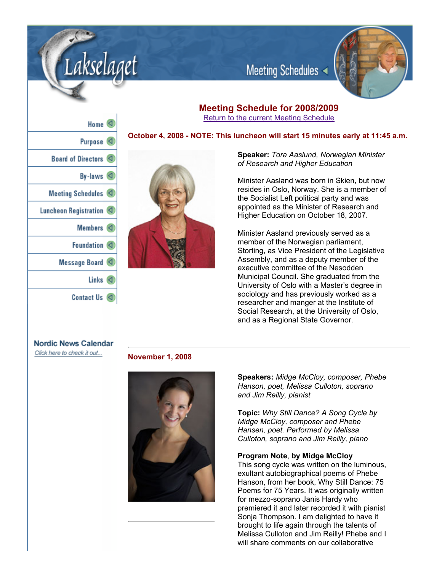

## **Meeting Schedule for 2008/2009** Return to the current Meeting Schedule

Meeting Schedules

## **October 4, 2008 NOTE: This luncheon will start 15 minutes early at 11:45 a.m.**

**Speaker:** *Tora Aaslund, Norwegian Minister of Research and Higher Education*

Minister Aasland was born in Skien, but now resides in Oslo, Norway. She is a member of the Socialist Left political party and was appointed as the Minister of Research and Higher Education on October 18, 2007.

Minister Aasland previously served as a member of the Norwegian parliament, Storting, as Vice President of the Legislative Assembly, and as a deputy member of the executive committee of the Nesodden Municipal Council. She graduated from the University of Oslo with a Master's degree in sociology and has previously worked as a researcher and manger at the Institute of Social Research, at the University of Oslo, and as a Regional State Governor.

# **Nordic News Calendar**

Click here to check it out...

## **November 1, 2008**



**Speakers:** *Midge McCloy, composer, Phebe Hanson, poet, Melissa Culloton, soprano and Jim Reilly, pianist*

**Topic:** *Why Still Dance? A Song Cycle by Midge McCloy, composer and Phebe Hansen, poet. Performed by Melissa Culloton, soprano and Jim Reilly, piano*

## **Program Note**, **by Midge McCloy**

This song cycle was written on the luminous, exultant autobiographical poems of Phebe Hanson, from her book, Why Still Dance: 75 Poems for 75 Years. It was originally written for mezzo-soprano Janis Hardy who premiered it and later recorded it with pianist Sonja Thompson. I am delighted to have it brought to life again through the talents of Melissa Culloton and Jim Reilly! Phebe and I will share comments on our collaborative

| Home $\triangleleft$     |  |
|--------------------------|--|
| Purpose <sup>(</sup>     |  |
| Board of Directors <     |  |
| By-laws                  |  |
| Meeting Schedules $\lhd$ |  |
| Luncheon Registration    |  |
| Members <                |  |
| Foundation <             |  |
| Message Board            |  |
| Links $\lhd$             |  |
| <b>Contact Us</b>        |  |

kselaaet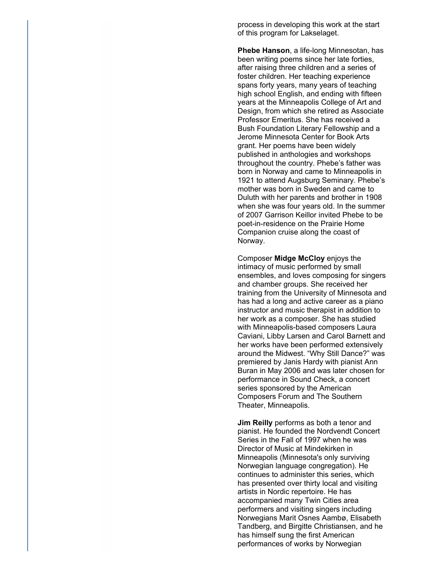process in developing this work at the start of this program for Lakselaget.

**Phebe Hanson, a life-long Minnesotan, has** been writing poems since her late forties, after raising three children and a series of foster children. Her teaching experience spans forty years, many years of teaching high school English, and ending with fifteen years at the Minneapolis College of Art and Design, from which she retired as Associate Professor Emeritus. She has received a Bush Foundation Literary Fellowship and a Jerome Minnesota Center for Book Arts grant. Her poems have been widely published in anthologies and workshops throughout the country. Phebe's father was born in Norway and came to Minneapolis in 1921 to attend Augsburg Seminary. Phebe's mother was born in Sweden and came to Duluth with her parents and brother in 1908 when she was four years old. In the summer of 2007 Garrison Keillor invited Phebe to be poet-in-residence on the Prairie Home Companion cruise along the coast of Norway.

Composer **Midge McCloy** enjoys the intimacy of music performed by small ensembles, and loves composing for singers and chamber groups. She received her training from the University of Minnesota and has had a long and active career as a piano instructor and music therapist in addition to her work as a composer. She has studied with Minneapolis-based composers Laura Caviani, Libby Larsen and Carol Barnett and her works have been performed extensively around the Midwest. "Why Still Dance?" was premiered by Janis Hardy with pianist Ann Buran in May 2006 and was later chosen for performance in Sound Check, a concert series sponsored by the American Composers Forum and The Southern Theater, Minneapolis.

**Jim Reilly** performs as both a tenor and pianist. He founded the Nordvendt Concert Series in the Fall of 1997 when he was Director of Music at Mindekirken in Minneapolis (Minnesota's only surviving Norwegian language congregation). He continues to administer this series, which has presented over thirty local and visiting artists in Nordic repertoire. He has accompanied many Twin Cities area performers and visiting singers including Norwegians Marit Osnes Aambø, Elisabeth Tandberg, and Birgitte Christiansen, and he has himself sung the first American performances of works by Norwegian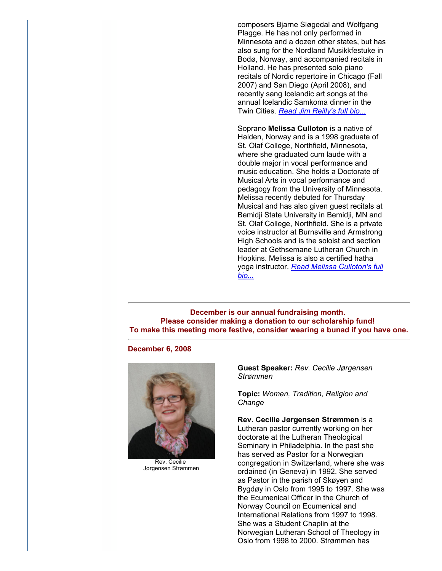composers Bjarne Sløgedal and Wolfgang Plagge. He has not only performed in Minnesota and a dozen other states, but has also sung for the Nordland Musikkfestuke in Bodø, Norway, and accompanied recitals in Holland. He has presented solo piano recitals of Nordic repertoire in Chicago (Fall 2007) and San Diego (April 2008), and recently sang Icelandic art songs at the annual Icelandic Samkoma dinner in the Twin Cities. *Read Jim Reilly's full bio...*

Soprano **Melissa Culloton** is a native of Halden, Norway and is a 1998 graduate of St. Olaf College, Northfield, Minnesota, where she graduated cum laude with a double major in vocal performance and music education. She holds a Doctorate of Musical Arts in vocal performance and pedagogy from the University of Minnesota. Melissa recently debuted for Thursday Musical and has also given guest recitals at Bemidji State University in Bemidji, MN and St. Olaf College, Northfield. She is a private voice instructor at Burnsville and Armstrong High Schools and is the soloist and section leader at Gethsemane Lutheran Church in Hopkins. Melissa is also a certified hatha yoga instructor. *Read Melissa Culloton's full bio...*

**December is our annual fundraising month. Please consider making a donation to our scholarship fund! To make this meeting more festive, consider wearing a bunad if you have one.**

## **December 6, 2008**



Rev. Cecilie Jørgensen Strømmen

**Guest Speaker:** *Rev. Cecilie Jørgensen Strømmen*

**Topic:** *Women, Tradition, Religion and Change*

**Rev. Cecilie Jørgensen Strømmen** is a Lutheran pastor currently working on her doctorate at the Lutheran Theological Seminary in Philadelphia. In the past she has served as Pastor for a Norwegian congregation in Switzerland, where she was ordained (in Geneva) in 1992. She served as Pastor in the parish of Skøyen and Bygdøy in Oslo from 1995 to 1997. She was the Ecumenical Officer in the Church of Norway Council on Ecumenical and International Relations from 1997 to 1998. She was a Student Chaplin at the Norwegian Lutheran School of Theology in Oslo from 1998 to 2000. Strømmen has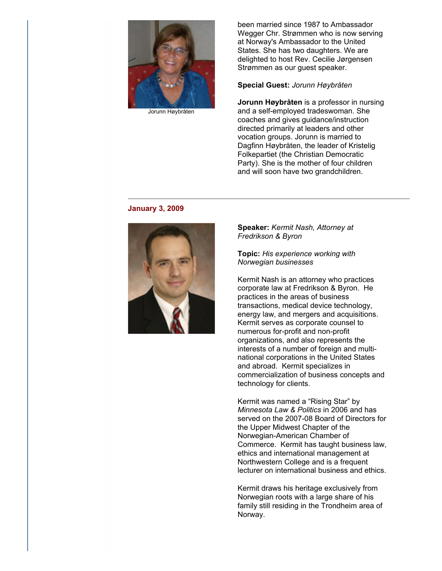

Jorunn Høybråten

been married since 1987 to Ambassador Wegger Chr. Strømmen who is now serving at Norway's Ambassador to the United States. She has two daughters. We are delighted to host Rev. Cecilie Jørgensen Strømmen as our guest speaker.

#### **Special Guest:** *Jorunn Høybråten*

**Jorunn Høybråten** is a professor in nursing and a self-employed tradeswoman. She coaches and gives guidance/instruction directed primarily at leaders and other vocation groups. Jorunn is married to Dagfinn Høybråten, the leader of Kristelig Folkepartiet (the Christian Democratic Party). She is the mother of four children and will soon have two grandchildren.

#### **January 3, 2009**



**Speaker:** *Kermit Nash, Attorney at Fredrikson & Byron*

**Topic:** *His experience working with Norwegian businesses*

Kermit Nash is an attorney who practices corporate law at Fredrikson & Byron. He practices in the areas of business transactions, medical device technology, energy law, and mergers and acquisitions. Kermit serves as corporate counsel to numerous for-profit and non-profit organizations, and also represents the interests of a number of foreign and multinational corporations in the United States and abroad. Kermit specializes in commercialization of business concepts and technology for clients.

Kermit was named a "Rising Star" by *Minnesota Law & Politics* in 2006 and has served on the 2007-08 Board of Directors for the Upper Midwest Chapter of the Norwegian-American Chamber of Commerce. Kermit has taught business law, ethics and international management at Northwestern College and is a frequent lecturer on international business and ethics.

Kermit draws his heritage exclusively from Norwegian roots with a large share of his family still residing in the Trondheim area of Norway.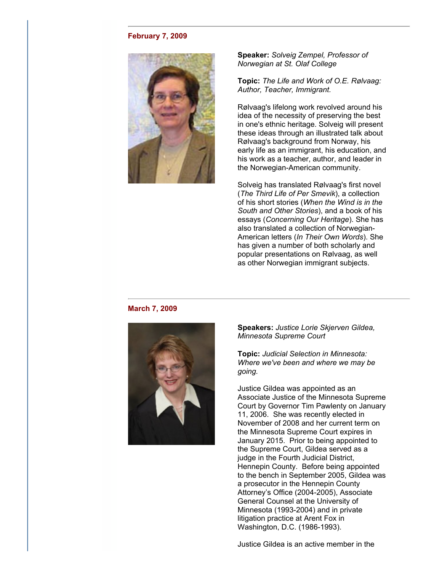## **February 7, 2009**



**Speaker:** *Solveig Zempel, Professor of Norwegian at St. Olaf College*

**Topic:** *The Life and Work of O.E. Rølvaag: Author, Teacher, Immigrant.*

Rølvaag's lifelong work revolved around his idea of the necessity of preserving the best in one's ethnic heritage. Solveig will present these ideas through an illustrated talk about Rølvaag's background from Norway, his early life as an immigrant, his education, and his work as a teacher, author, and leader in the Norwegian-American community.

Solveig has translated Rølvaag's first novel (*The Third Life of Per Smevik*), a collection of his short stories (*When the Wind is in the South and Other Stories*), and a book of his essays (*Concerning Our Heritage*). She has also translated a collection of Norwegian-American letters (*In Their Own Words*). She has given a number of both scholarly and popular presentations on Rølvaag, as well as other Norwegian immigrant subjects.

#### **March 7, 2009**



**Speakers:** *Justice Lorie Skjerven Gildea, Minnesota Supreme Court*

**Topic:** *Judicial Selection in Minnesota: Where we've been and where we may be going.*

Justice Gildea was appointed as an Associate Justice of the Minnesota Supreme Court by Governor Tim Pawlenty on January 11, 2006. She was recently elected in November of 2008 and her current term on the Minnesota Supreme Court expires in January 2015. Prior to being appointed to the Supreme Court, Gildea served as a judge in the Fourth Judicial District, Hennepin County. Before being appointed to the bench in September 2005, Gildea was a prosecutor in the Hennepin County Attorney's Office (2004-2005), Associate General Counsel at the University of Minnesota (1993-2004) and in private litigation practice at Arent Fox in Washington, D.C. (1986-1993).

Justice Gildea is an active member in the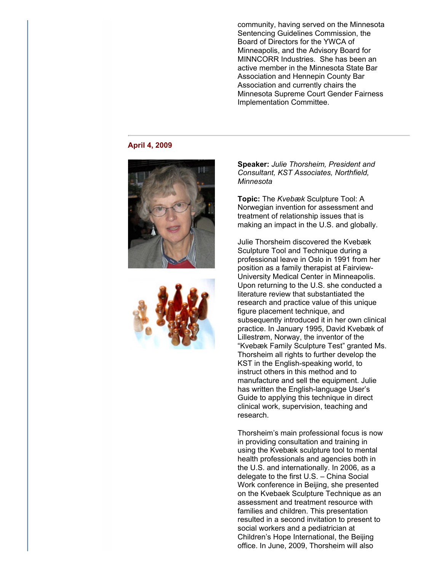community, having served on the Minnesota Sentencing Guidelines Commission, the Board of Directors for the YWCA of Minneapolis, and the Advisory Board for MINNCORR Industries. She has been an active member in the Minnesota State Bar Association and Hennepin County Bar Association and currently chairs the Minnesota Supreme Court Gender Fairness Implementation Committee.

#### **April 4, 2009**





**Speaker:** *Julie Thorsheim, President and Consultant, KST Associates, Northfield, Minnesota*

**Topic:** The *Kvebæk* Sculpture Tool: A Norwegian invention for assessment and treatment of relationship issues that is making an impact in the U.S. and globally.

Julie Thorsheim discovered the Kvebæk Sculpture Tool and Technique during a professional leave in Oslo in 1991 from her position as a family therapist at Fairview-University Medical Center in Minneapolis. Upon returning to the U.S. she conducted a literature review that substantiated the research and practice value of this unique figure placement technique, and subsequently introduced it in her own clinical practice. In January 1995, David Kvebæk of Lillestrøm, Norway, the inventor of the "Kvebæk Family Sculpture Test" granted Ms. Thorsheim all rights to further develop the KST in the English-speaking world, to instruct others in this method and to manufacture and sell the equipment. Julie has written the English-language User's Guide to applying this technique in direct clinical work, supervision, teaching and research.

Thorsheim's main professional focus is now in providing consultation and training in using the Kvebæk sculpture tool to mental health professionals and agencies both in the U.S. and internationally. In 2006, as a delegate to the first U.S. – China Social Work conference in Beijing, she presented on the Kvebaek Sculpture Technique as an assessment and treatment resource with families and children. This presentation resulted in a second invitation to present to social workers and a pediatrician at Children's Hope International, the Beijing office. In June, 2009, Thorsheim will also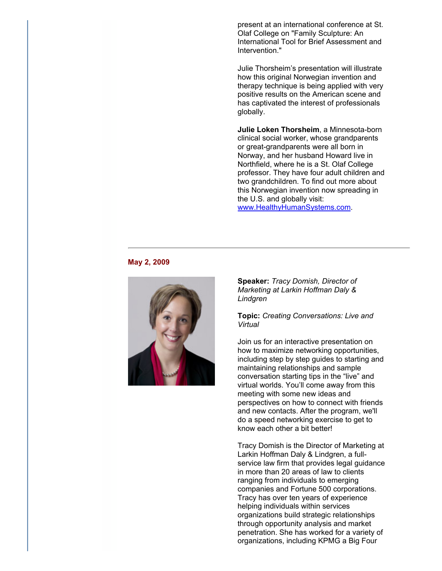present at an international conference at St. Olaf College on "Family Sculpture: An International Tool for Brief Assessment and Intervention."

Julie Thorsheim's presentation will illustrate how this original Norwegian invention and therapy technique is being applied with very positive results on the American scene and has captivated the interest of professionals globally.

**Julie Loken Thorsheim**, a Minnesota-born clinical social worker, whose grandparents or great-grandparents were all born in Norway, and her husband Howard live in Northfield, where he is a St. Olaf College professor. They have four adult children and two grandchildren. To find out more about this Norwegian invention now spreading in the U.S. and globally visit: www.HealthyHumanSystems.com.

#### **May 2, 2009**



**Speaker:** *Tracy Domish, Director of Marketing at Larkin Hoffman Daly & Lindgren*

**Topic:** *Creating Conversations: Live and Virtual*

Join us for an interactive presentation on how to maximize networking opportunities, including step by step guides to starting and maintaining relationships and sample conversation starting tips in the "live" and virtual worlds. You'll come away from this meeting with some new ideas and perspectives on how to connect with friends and new contacts. After the program, we'll do a speed networking exercise to get to know each other a bit better!

Tracy Domish is the Director of Marketing at Larkin Hoffman Daly & Lindgren, a fullservice law firm that provides legal guidance in more than 20 areas of law to clients ranging from individuals to emerging companies and Fortune 500 corporations. Tracy has over ten years of experience helping individuals within services organizations build strategic relationships through opportunity analysis and market penetration. She has worked for a variety of organizations, including KPMG a Big Four